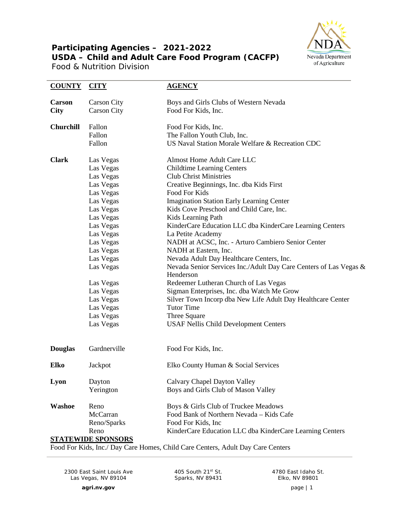## **Participating Agencies – 2021-2022 USDA – Child and Adult Care Food Program (CACFP)**

Food & Nutrition Division



| <b>COUNTY</b>                | CITY                                                                                                                                                                                                                                                             | <b>AGENCY</b>                                                                                                                                                                                                                                                                                                                                                                                                                                                                                                                                                                                                                                                                                                                                                                                                                        |
|------------------------------|------------------------------------------------------------------------------------------------------------------------------------------------------------------------------------------------------------------------------------------------------------------|--------------------------------------------------------------------------------------------------------------------------------------------------------------------------------------------------------------------------------------------------------------------------------------------------------------------------------------------------------------------------------------------------------------------------------------------------------------------------------------------------------------------------------------------------------------------------------------------------------------------------------------------------------------------------------------------------------------------------------------------------------------------------------------------------------------------------------------|
| <b>Carson</b><br><b>City</b> | <b>Carson City</b><br><b>Carson City</b>                                                                                                                                                                                                                         | Boys and Girls Clubs of Western Nevada<br>Food For Kids, Inc.                                                                                                                                                                                                                                                                                                                                                                                                                                                                                                                                                                                                                                                                                                                                                                        |
| <b>Churchill</b>             | Fallon<br>Fallon<br>Fallon                                                                                                                                                                                                                                       | Food For Kids, Inc.<br>The Fallon Youth Club, Inc.<br>US Naval Station Morale Welfare & Recreation CDC                                                                                                                                                                                                                                                                                                                                                                                                                                                                                                                                                                                                                                                                                                                               |
| <b>Clark</b>                 | Las Vegas<br>Las Vegas<br>Las Vegas<br>Las Vegas<br>Las Vegas<br>Las Vegas<br>Las Vegas<br>Las Vegas<br>Las Vegas<br>Las Vegas<br>Las Vegas<br>Las Vegas<br>Las Vegas<br>Las Vegas<br>Las Vegas<br>Las Vegas<br>Las Vegas<br>Las Vegas<br>Las Vegas<br>Las Vegas | <b>Almost Home Adult Care LLC</b><br><b>Childtime Learning Centers</b><br><b>Club Christ Ministries</b><br>Creative Beginnings, Inc. dba Kids First<br>Food For Kids<br><b>Imagination Station Early Learning Center</b><br>Kids Cove Preschool and Child Care, Inc.<br>Kids Learning Path<br>KinderCare Education LLC dba KinderCare Learning Centers<br>La Petite Academy<br>NADH at ACSC, Inc. - Arturo Cambiero Senior Center<br>NADH at Eastern, Inc.<br>Nevada Adult Day Healthcare Centers, Inc.<br>Nevada Senior Services Inc./Adult Day Care Centers of Las Vegas &<br>Henderson<br>Redeemer Lutheran Church of Las Vegas<br>Sigman Enterprises, Inc. dba Watch Me Grow<br>Silver Town Incorp dba New Life Adult Day Healthcare Center<br><b>Tutor Time</b><br>Three Square<br><b>USAF Nellis Child Development Centers</b> |
| <b>Douglas</b>               | Gardnerville                                                                                                                                                                                                                                                     | Food For Kids, Inc.                                                                                                                                                                                                                                                                                                                                                                                                                                                                                                                                                                                                                                                                                                                                                                                                                  |
| <b>Elko</b>                  | Jackpot                                                                                                                                                                                                                                                          | Elko County Human & Social Services                                                                                                                                                                                                                                                                                                                                                                                                                                                                                                                                                                                                                                                                                                                                                                                                  |
| Lyon                         | Dayton<br>Yerington                                                                                                                                                                                                                                              | Calvary Chapel Dayton Valley<br>Boys and Girls Club of Mason Valley                                                                                                                                                                                                                                                                                                                                                                                                                                                                                                                                                                                                                                                                                                                                                                  |
| Washoe                       | Reno<br>McCarran<br>Reno/Sparks<br>Reno<br><b>STATEWIDE SPONSORS</b>                                                                                                                                                                                             | Boys & Girls Club of Truckee Meadows<br>Food Bank of Northern Nevada - Kids Cafe<br>Food For Kids, Inc<br>KinderCare Education LLC dba KinderCare Learning Centers                                                                                                                                                                                                                                                                                                                                                                                                                                                                                                                                                                                                                                                                   |

Food For Kids, Inc./ Day Care Homes, Child Care Centers, Adult Day Care Centers

2300 East Saint Louis Ave Las Vegas, NV 89104

405 South 21st St. Sparks, NV 89431